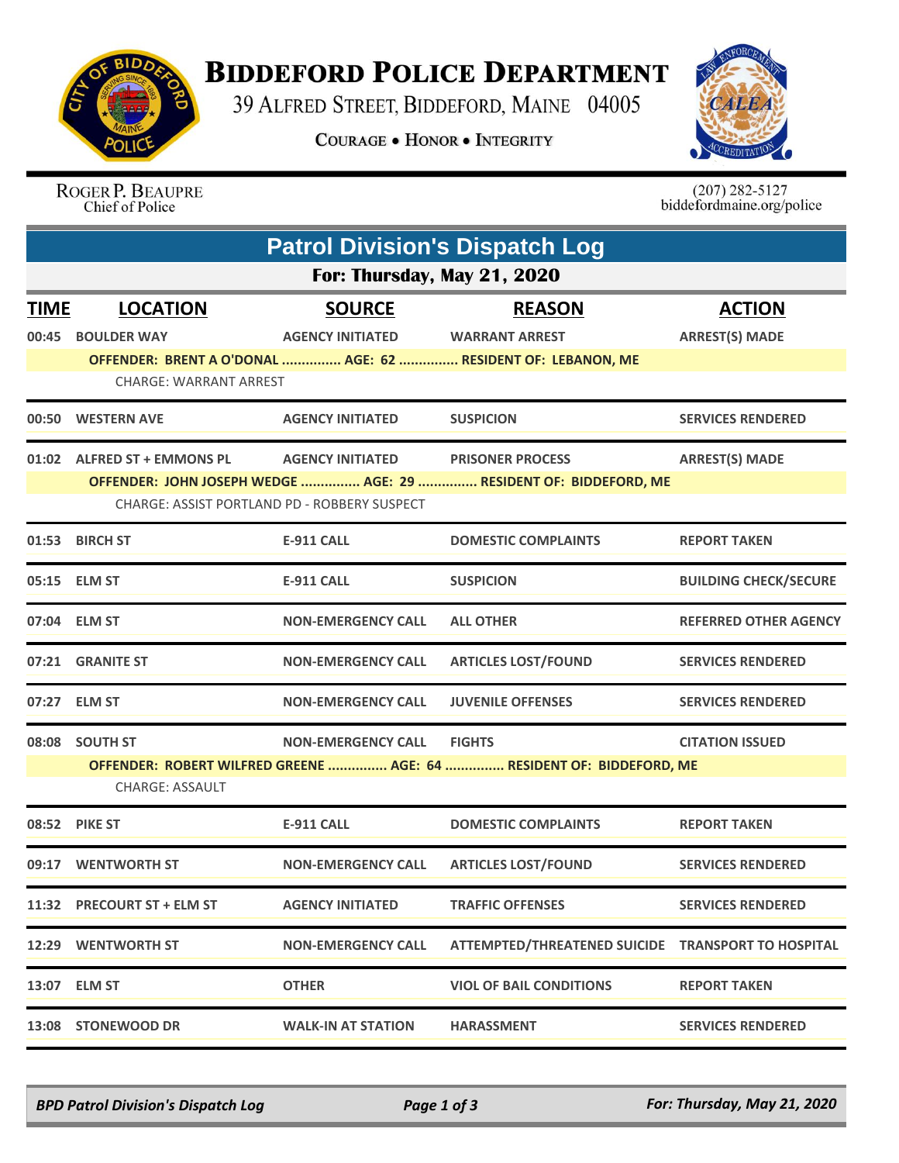

## **BIDDEFORD POLICE DEPARTMENT**

39 ALFRED STREET, BIDDEFORD, MAINE 04005

**COURAGE . HONOR . INTEGRITY** 



ROGER P. BEAUPRE Chief of Police

 $(207)$  282-5127<br>biddefordmaine.org/police

|             | <b>Patrol Division's Dispatch Log</b>        |                           |                                                                      |                              |  |  |  |  |
|-------------|----------------------------------------------|---------------------------|----------------------------------------------------------------------|------------------------------|--|--|--|--|
|             | For: Thursday, May 21, 2020                  |                           |                                                                      |                              |  |  |  |  |
| <b>TIME</b> | <b>LOCATION</b>                              | <b>SOURCE</b>             | <b>REASON</b>                                                        | <b>ACTION</b>                |  |  |  |  |
| 00:45       | <b>BOULDER WAY</b>                           | <b>AGENCY INITIATED</b>   | <b>WARRANT ARREST</b>                                                | <b>ARREST(S) MADE</b>        |  |  |  |  |
|             |                                              |                           | OFFENDER: BRENT A O'DONAL  AGE: 62  RESIDENT OF: LEBANON, ME         |                              |  |  |  |  |
|             | <b>CHARGE: WARRANT ARREST</b>                |                           |                                                                      |                              |  |  |  |  |
|             | 00:50 WESTERN AVE                            | <b>AGENCY INITIATED</b>   | <b>SUSPICION</b>                                                     | <b>SERVICES RENDERED</b>     |  |  |  |  |
|             | 01:02 ALFRED ST + EMMONS PL                  | <b>AGENCY INITIATED</b>   | <b>PRISONER PROCESS</b>                                              | <b>ARREST(S) MADE</b>        |  |  |  |  |
|             |                                              |                           | OFFENDER: JOHN JOSEPH WEDGE  AGE: 29  RESIDENT OF: BIDDEFORD, ME     |                              |  |  |  |  |
|             | CHARGE: ASSIST PORTLAND PD - ROBBERY SUSPECT |                           |                                                                      |                              |  |  |  |  |
|             | 01:53 BIRCH ST                               | <b>E-911 CALL</b>         | <b>DOMESTIC COMPLAINTS</b>                                           | <b>REPORT TAKEN</b>          |  |  |  |  |
|             | 05:15 ELM ST                                 | <b>E-911 CALL</b>         | <b>SUSPICION</b>                                                     | <b>BUILDING CHECK/SECURE</b> |  |  |  |  |
|             | 07:04 ELM ST                                 | <b>NON-EMERGENCY CALL</b> | <b>ALL OTHER</b>                                                     | <b>REFERRED OTHER AGENCY</b> |  |  |  |  |
|             | 07:21 GRANITE ST                             | <b>NON-EMERGENCY CALL</b> | <b>ARTICLES LOST/FOUND</b>                                           | <b>SERVICES RENDERED</b>     |  |  |  |  |
|             | 07:27 ELM ST                                 | <b>NON-EMERGENCY CALL</b> | <b>JUVENILE OFFENSES</b>                                             | <b>SERVICES RENDERED</b>     |  |  |  |  |
|             | 08:08 SOUTH ST                               | <b>NON-EMERGENCY CALL</b> | <b>FIGHTS</b>                                                        | <b>CITATION ISSUED</b>       |  |  |  |  |
|             | <b>CHARGE: ASSAULT</b>                       |                           | OFFENDER: ROBERT WILFRED GREENE  AGE: 64  RESIDENT OF: BIDDEFORD, ME |                              |  |  |  |  |
|             | 08:52 PIKE ST                                | <b>E-911 CALL</b>         | <b>DOMESTIC COMPLAINTS</b>                                           | <b>REPORT TAKEN</b>          |  |  |  |  |
| 09:17       | <b>WENTWORTH ST</b>                          | <b>NON-EMERGENCY CALL</b> | <b>ARTICLES LOST/FOUND</b>                                           | <b>SERVICES RENDERED</b>     |  |  |  |  |
|             | 11:32 PRECOURT ST + ELM ST                   | <b>AGENCY INITIATED</b>   | <b>TRAFFIC OFFENSES</b>                                              | <b>SERVICES RENDERED</b>     |  |  |  |  |
|             | <b>12:29 WENTWORTH ST</b>                    | <b>NON-EMERGENCY CALL</b> | ATTEMPTED/THREATENED SUICIDE TRANSPORT TO HOSPITAL                   |                              |  |  |  |  |
|             | 13:07 ELM ST                                 | <b>OTHER</b>              | <b>VIOL OF BAIL CONDITIONS</b>                                       | <b>REPORT TAKEN</b>          |  |  |  |  |
|             | 13:08 STONEWOOD DR                           | <b>WALK-IN AT STATION</b> | <b>HARASSMENT</b>                                                    | <b>SERVICES RENDERED</b>     |  |  |  |  |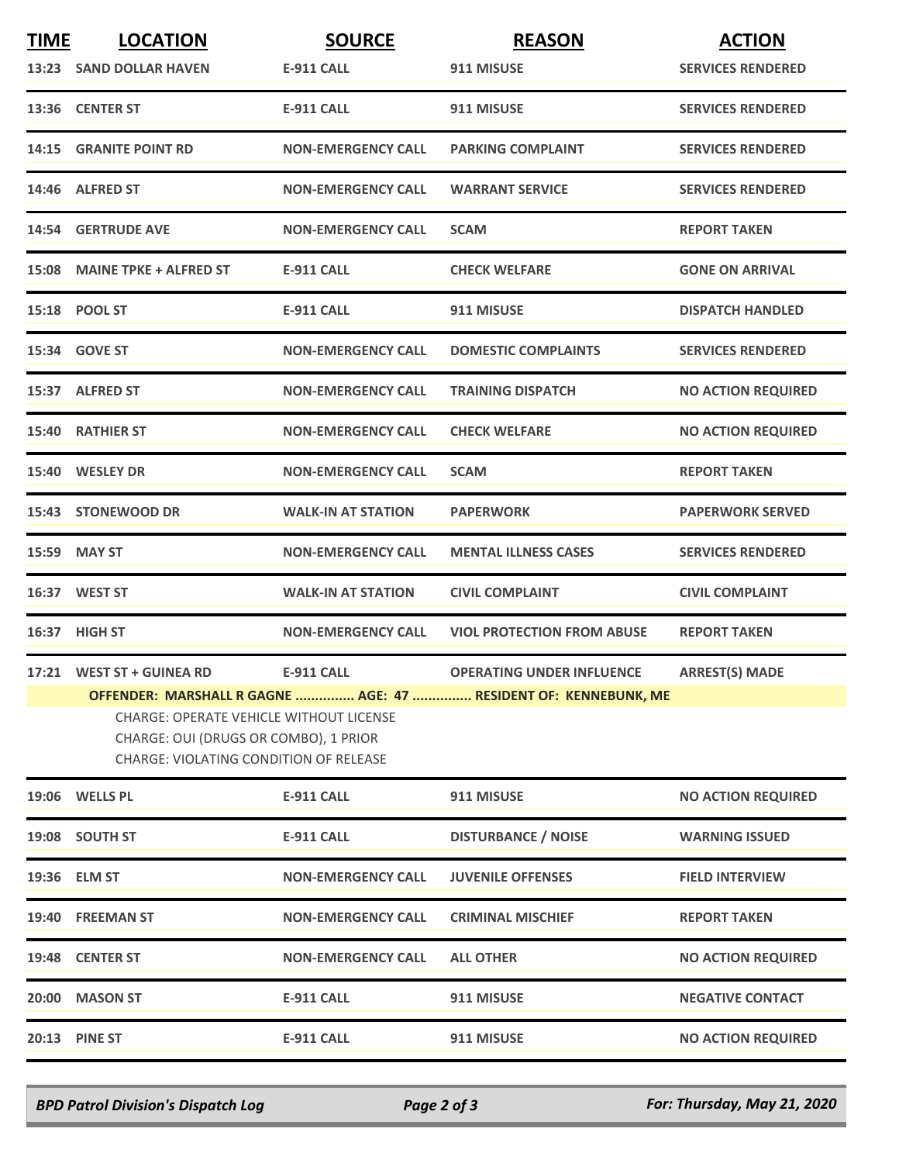| <b>TIME</b> | <b>LOCATION</b>                                                                                                                          | <b>SOURCE</b>             | <b>REASON</b>                                                   | <b>ACTION</b>             |
|-------------|------------------------------------------------------------------------------------------------------------------------------------------|---------------------------|-----------------------------------------------------------------|---------------------------|
|             | 13:23 SAND DOLLAR HAVEN                                                                                                                  | <b>E-911 CALL</b>         | 911 MISUSE                                                      | <b>SERVICES RENDERED</b>  |
|             | 13:36 CENTER ST                                                                                                                          | <b>E-911 CALL</b>         | 911 MISUSE                                                      | <b>SERVICES RENDERED</b>  |
| 14:15       | <b>GRANITE POINT RD</b>                                                                                                                  | <b>NON-EMERGENCY CALL</b> | <b>PARKING COMPLAINT</b>                                        | <b>SERVICES RENDERED</b>  |
|             | 14:46 ALFRED ST                                                                                                                          | <b>NON-EMERGENCY CALL</b> | <b>WARRANT SERVICE</b>                                          | <b>SERVICES RENDERED</b>  |
|             | <b>14:54 GERTRUDE AVE</b>                                                                                                                | <b>NON-EMERGENCY CALL</b> | <b>SCAM</b>                                                     | <b>REPORT TAKEN</b>       |
|             | 15:08 MAINE TPKE + ALFRED ST                                                                                                             | <b>E-911 CALL</b>         | <b>CHECK WELFARE</b>                                            | <b>GONE ON ARRIVAL</b>    |
|             | 15:18 POOL ST                                                                                                                            | <b>E-911 CALL</b>         | 911 MISUSE                                                      | <b>DISPATCH HANDLED</b>   |
|             | 15:34 GOVE ST                                                                                                                            | <b>NON-EMERGENCY CALL</b> | <b>DOMESTIC COMPLAINTS</b>                                      | <b>SERVICES RENDERED</b>  |
|             | 15:37 ALFRED ST                                                                                                                          | <b>NON-EMERGENCY CALL</b> | <b>TRAINING DISPATCH</b>                                        | <b>NO ACTION REQUIRED</b> |
|             | <b>15:40 RATHIER ST</b>                                                                                                                  | <b>NON-EMERGENCY CALL</b> | <b>CHECK WELFARE</b>                                            | <b>NO ACTION REQUIRED</b> |
|             | 15:40 WESLEY DR                                                                                                                          | <b>NON-EMERGENCY CALL</b> | <b>SCAM</b>                                                     | <b>REPORT TAKEN</b>       |
|             | 15:43 STONEWOOD DR                                                                                                                       | <b>WALK-IN AT STATION</b> | <b>PAPERWORK</b>                                                | <b>PAPERWORK SERVED</b>   |
|             | 15:59 MAY ST                                                                                                                             | <b>NON-EMERGENCY CALL</b> | <b>MENTAL ILLNESS CASES</b>                                     | <b>SERVICES RENDERED</b>  |
|             | 16:37 WEST ST                                                                                                                            | <b>WALK-IN AT STATION</b> | <b>CIVIL COMPLAINT</b>                                          | <b>CIVIL COMPLAINT</b>    |
|             | 16:37 HIGH ST                                                                                                                            | <b>NON-EMERGENCY CALL</b> | <b>VIOL PROTECTION FROM ABUSE</b>                               | <b>REPORT TAKEN</b>       |
|             | 17:21 WEST ST + GUINEA RD                                                                                                                | <b>E-911 CALL</b>         | <b>OPERATING UNDER INFLUENCE</b>                                | <b>ARREST(S) MADE</b>     |
|             | <b>CHARGE: OPERATE VEHICLE WITHOUT LICENSE</b><br>CHARGE: OUI (DRUGS OR COMBO), 1 PRIOR<br><b>CHARGE: VIOLATING CONDITION OF RELEASE</b> |                           | OFFENDER: MARSHALL R GAGNE  AGE: 47  RESIDENT OF: KENNEBUNK, ME |                           |
|             | 19:06 WELLS PL                                                                                                                           | <b>E-911 CALL</b>         | 911 MISUSE                                                      | <b>NO ACTION REQUIRED</b> |
|             | 19:08 SOUTH ST                                                                                                                           | <b>E-911 CALL</b>         | <b>DISTURBANCE / NOISE</b>                                      | <b>WARNING ISSUED</b>     |
|             | 19:36 ELM ST                                                                                                                             | <b>NON-EMERGENCY CALL</b> | <b>JUVENILE OFFENSES</b>                                        | <b>FIELD INTERVIEW</b>    |
| 19:40       | <b>FREEMAN ST</b>                                                                                                                        | <b>NON-EMERGENCY CALL</b> | <b>CRIMINAL MISCHIEF</b>                                        | <b>REPORT TAKEN</b>       |
|             | 19:48 CENTER ST                                                                                                                          | <b>NON-EMERGENCY CALL</b> | <b>ALL OTHER</b>                                                | <b>NO ACTION REQUIRED</b> |
| 20:00       | <b>MASON ST</b>                                                                                                                          | <b>E-911 CALL</b>         | 911 MISUSE                                                      | <b>NEGATIVE CONTACT</b>   |
|             | <b>20:13 PINE ST</b>                                                                                                                     | <b>E-911 CALL</b>         | 911 MISUSE                                                      | <b>NO ACTION REQUIRED</b> |

*BPD Patrol Division's Dispatch Log Page 2 of 3 For: Thursday, May 21, 2020*